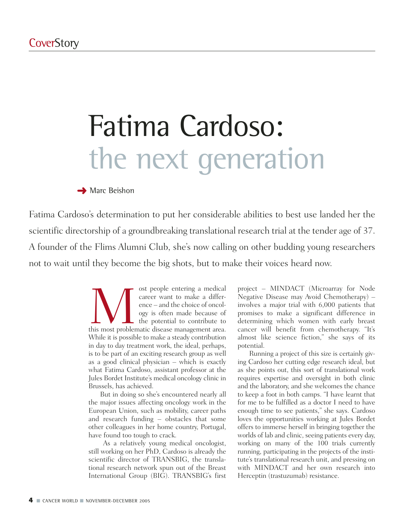# Fatima Cardoso: the next generation

#### **→ Marc Beishon**

Fatima Cardoso's determination to put her considerable abilities to best use landed her the scientific directorship of a groundbreaking translational research trial at the tender age of 37. A founder of the Flims Alumni Club, she's now calling on other budding young researchers not to wait until they become the big shots, but to make their voices heard now.

> ost people entering a medical<br>career want to make a differ-<br>ence – and the choice of oncol-<br>ogy is often made because of<br>the potential to contribute to<br>this most problematic disease management area. career want to make a difference – and the choice of oncology is often made because of the potential to contribute to While it is possible to make a steady contribution in day to day treatment work, the ideal, perhaps, is to be part of an exciting research group as well as a good clinical physician – which is exactly what Fatima Cardoso, assistant professor at the Jules Bordet Institute's medical oncology clinic in Brussels, has achieved.

> But in doing so she's encountered nearly all the major issues affecting oncology work in the European Union, such as mobility, career paths and research funding – obstacles that some other colleagues in her home country, Portugal, have found too tough to crack.

> As a relatively young medical oncologist, still working on her PhD, Cardoso is already the scientific director of TRANSBIG, the translational research network spun out of the Breast International Group (BIG). TRANSBIG's first

project – MINDACT (Microarray for Node Negative Disease may Avoid Chemotherapy) – involves a major trial with 6,000 patients that promises to make a significant difference in determining which women with early breast cancer will benefit from chemotherapy. "It's almost like science fiction," she says of its potential.

Running a project of this size is certainly giving Cardoso her cutting edge research ideal, but as she points out, this sort of translational work requires expertise and oversight in both clinic and the laboratory, and she welcomes the chance to keep a foot in both camps. "I have learnt that for me to be fulfilled as a doctor I need to have enough time to see patients," she says. Cardoso loves the opportunities working at Jules Bordet offers to immerse herself in bringing together the worlds of lab and clinic, seeing patients every day, working on many of the 100 trials currently running, participating in the projects of the institute's translational research unit, and pressing on with MINDACT and her own research into Herceptin (trastuzumab) resistance.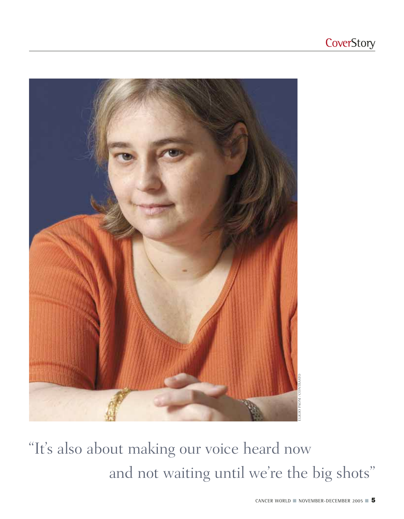

"It's also about making our voice heard now and not waiting until we're the big shots"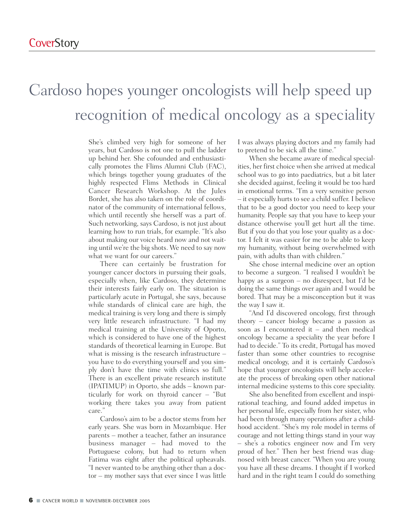### Cardoso hopes younger oncologists will help speed up recognition of medical oncology as a speciality

She's climbed very high for someone of her years, but Cardoso is not one to pull the ladder up behind her. She cofounded and enthusiastically promotes the Flims Alumni Club (FAC), which brings together young graduates of the highly respected Flims Methods in Clinical Cancer Research Workshop. At the Jules Bordet, she has also taken on the role of coordinator of the community of international fellows, which until recently she herself was a part of. Such networking, says Cardoso, is not just about learning how to run trials, for example. "It's also about making our voice heard now and not waiting until we're the big shots. We need to say now what we want for our careers."

There can certainly be frustration for younger cancer doctors in pursuing their goals, especially when, like Cardoso, they determine their interests fairly early on. The situation is particularly acute in Portugal, she says, because while standards of clinical care are high, the medical training is very long and there is simply very little research infrastructure. "I had my medical training at the University of Oporto, which is considered to have one of the highest standards of theoretical learning in Europe. But what is missing is the research infrastructure – you have to do everything yourself and you simply don't have the time with clinics so full." There is an excellent private research institute (IPATIMUP) in Oporto, she adds – known particularly for work on thyroid cancer – "But working there takes you away from patient care."

Cardoso's aim to be a doctor stems from her early years. She was born in Mozambique. Her parents – mother a teacher, father an insurance business manager – had moved to the Portuguese colony, but had to return when Fatima was eight after the political upheavals. "I never wanted to be anything other than a doctor – my mother says that ever since I was little

I was always playing doctors and my family had to pretend to be sick all the time."

When she became aware of medical specialities, her first choice when she arrived at medical school was to go into paediatrics, but a bit later she decided against, feeling it would be too hard in emotional terms. "I'm a very sensitive person – it especially hurts to see a child suffer. I believe that to be a good doctor you need to keep your humanity. People say that you have to keep your distance otherwise you'll get hurt all the time. But if you do that you lose your quality as a doctor. I felt it was easier for me to be able to keep my humanity, without being overwhelmed with pain, with adults than with children."

She chose internal medicine over an option to become a surgeon. "I realised I wouldn't be happy as a surgeon – no disrespect, but I'd be doing the same things over again and I would be bored. That may be a misconception but it was the way I saw it.

"And I'd discovered oncology, first through theory – cancer biology became a passion as soon as I encountered it – and then medical oncology became a speciality the year before I had to decide." To its credit, Portugal has moved faster than some other countries to recognise medical oncology, and it is certainly Cardoso's hope that younger oncologists will help accelerate the process of breaking open other national internal medicine systems to this core speciality.

She also benefited from excellent and inspirational teaching, and found added impetus in her personal life, especially from her sister, who had been through many operations after a childhood accident. "She's my role model in terms of courage and not letting things stand in your way – she's a robotics engineer now and I'm very proud of her." Then her best friend was diagnosed with breast cancer. "When you are young you have all these dreams. I thought if I worked hard and in the right team I could do something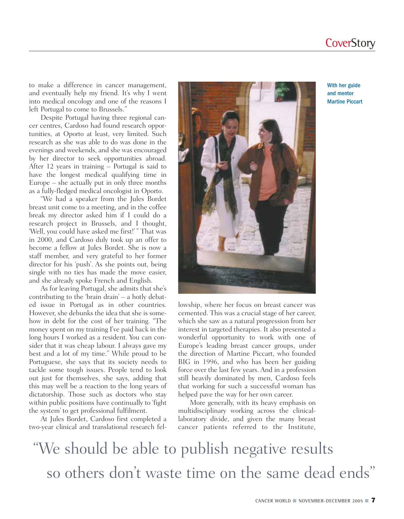### **CoverStory**

to make a difference in cancer management, and eventually help my friend. It's why I went into medical oncology and one of the reasons I left Portugal to come to Brussels."

Despite Portugal having three regional cancer centres, Cardoso had found research opportunities, at Oporto at least, very limited. Such research as she was able to do was done in the evenings and weekends, and she was encouraged by her director to seek opportunities abroad. After 12 years in training – Portugal is said to have the longest medical qualifying time in Europe – she actually put in only three months as a fully-fledged medical oncologist in Oporto.

"We had a speaker from the Jules Bordet breast unit come to a meeting, and in the coffee break my director asked him if I could do a research project in Brussels, and I thought, 'Well, you could have asked me first!' " That was in 2000, and Cardoso duly took up an offer to become a fellow at Jules Bordet. She is now a staff member, and very grateful to her former director for his 'push'. As she points out, being single with no ties has made the move easier, and she already spoke French and English.

As for leaving Portugal, she admits that she's contributing to the 'brain drain' – a hotly debated issue in Portugal as in other countries. However, she debunks the idea that she is somehow in debt for the cost of her training. "The money spent on my training I've paid back in the long hours I worked as a resident. You can consider that it was cheap labour. I always gave my best and a lot of my time." While proud to be Portuguese, she says that its society needs to tackle some tough issues. People tend to look out just for themselves, she says, adding that this may well be a reaction to the long years of dictatorship. Those such as doctors who stay within public positions have continually to 'fight the system' to get professional fulfilment.

At Jules Bordet, Cardoso first completed a two-year clinical and translational research fel-



lowship, where her focus on breast cancer was cemented. This was a crucial stage of her career, which she saw as a natural progression from her interest in targeted therapies. It also presented a wonderful opportunity to work with one of Europe's leading breast cancer groups, under the direction of Martine Piccart, who founded BIG in 1996, and who has been her guiding force over the last few years. And in a profession still heavily dominated by men, Cardoso feels that working for such a successful woman has helped pave the way for her own career.

More generally, with its heavy emphasis on multidisciplinary working across the clinicallaboratory divide, and given the many breast cancer patients referred to the Institute,

"We should be able to publish negative results so others don't waste time on the same dead ends"

With her guide and mentor Martine Piccart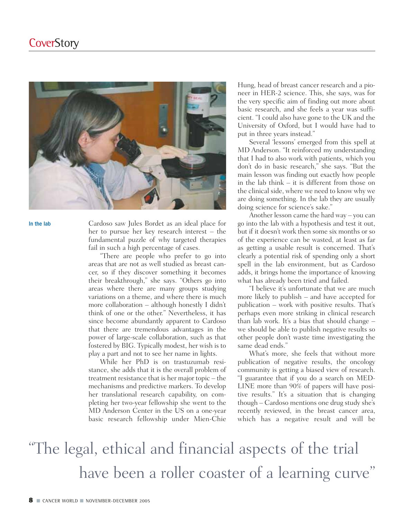

In the lab

Cardoso saw Jules Bordet as an ideal place for her to pursue her key research interest – the fundamental puzzle of why targeted therapies fail in such a high percentage of cases.

"There are people who prefer to go into areas that are not as well studied as breast cancer, so if they discover something it becomes their breakthrough," she says. "Others go into areas where there are many groups studying variations on a theme, and where there is much more collaboration – although honestly I didn't think of one or the other." Nevertheless, it has since become abundantly apparent to Cardoso that there are tremendous advantages in the power of large-scale collaboration, such as that fostered by BIG. Typically modest, her wish is to play a part and not to see her name in lights.

While her PhD is on trastuzumab resistance, she adds that it is the overall problem of treatment resistance that is her major topic – the mechanisms and predictive markers. To develop her translational research capability, on completing her two-year fellowship she went to the MD Anderson Center in the US on a one-year basic research fellowship under Mien-Chie

Hung, head of breast cancer research and a pioneer in HER-2 science. This, she says, was for the very specific aim of finding out more about basic research, and she feels a year was sufficient. "I could also have gone to the UK and the University of Oxford, but I would have had to put in three years instead."

Several 'lessons' emerged from this spell at MD Anderson. "It reinforced my understanding that I had to also work with patients, which you don't do in basic research," she says. "But the main lesson was finding out exactly how people in the lab think – it is different from those on the clinical side, where we need to know why we are doing something. In the lab they are usually doing science for science's sake."

Another lesson came the hard way – you can go into the lab with a hypothesis and test it out, but if it doesn't work then some six months or so of the experience can be wasted, at least as far as getting a usable result is concerned. That's clearly a potential risk of spending only a short spell in the lab environment, but as Cardoso adds, it brings home the importance of knowing what has already been tried and failed.

"I believe it's unfortunate that we are much more likely to publish – and have accepted for publication – work with positive results. That's perhaps even more striking in clinical research than lab work. It's a bias that should change – we should be able to publish negative results so other people don't waste time investigating the same dead ends."

What's more, she feels that without more publication of negative results, the oncology community is getting a biased view of research. "I guarantee that if you do a search on MED-LINE more than 90% of papers will have positive results." It's a situation that is changing though – Cardoso mentions one drug study she's recently reviewed, in the breast cancer area, which has a negative result and will be

### "The legal, ethical and financial aspects of the trial have been a roller coaster of a learning curve"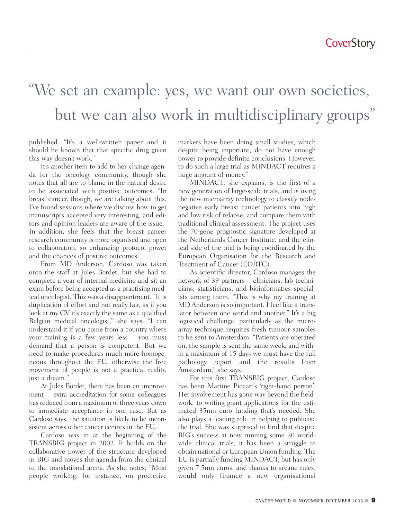### "We set an example: yes, we want our own societies, but we can also work in multidisciplinary groups"

published. "It's a well-written paper and it should be known that that specific drug given this way doesn't work."

It's another item to add to her change agenda for the oncology community, though she notes that all are to blame in the natural desire to be associated with positive outcomes. "In breast cancer, though, we are talking about this. I've found sessions where we discuss how to get manuscripts accepted very interesting, and editors and opinion leaders are aware of the issue." In addition, she feels that the breast cancer research community is more organised and open to collaboration, so enhancing protocol power and the chances of positive outcomes.

From MD Anderson, Cardoso was taken onto the staff at Jules Bordet, but she had to complete a year of internal medicine and sit an exam before being accepted as a practising medical oncologist. This was a disappointment. "It is duplication of effort and not really fair, as if you look at my CV it's exactly the same as a qualified Belgian medical oncologist," she says. "I can understand it if you come from a country where your training is a few years less – you must demand that a person is competent. But we need to make procedures much more homogeneous throughout the EU, otherwise the free movement of people is not a practical reality, just a dream."

At Jules Bordet, there has been an improvement – extra accreditation for some colleagues has reduced from a maximum of three years down to immediate acceptance in one case. But as Cardoso says, the situation is likely to be inconsistent across other cancer centres in the EU.

Cardoso was in at the beginning of the TRANSBIG project in 2002. It builds on the collaborative power of the structure developed in BIG and moves the agenda from the clinical to the translational arena. As she notes, "Most people working, for instance, on predictive markers have been doing small studies, which despite being important, do not have enough power to provide definite conclusions. However, to do such a large trial as MINDACT requires a huge amount of money."

MINDACT, she explains, is the first of a new generation of large-scale trials, and is using the new microarray technology to classify nodenegative early breast cancer patients into high and low risk of relapse, and compare them with traditional clinical assessment. The project uses the 70-gene prognostic signature developed at the Netherlands Cancer Institute, and the clinical side of the trial is being coordinated by the European Organisation for the Research and Treatment of Cancer (EORTC).

As scientific director, Cardoso manages the network of 39 partners – clinicians, lab technicians, statisticians, and bioinformatics specialists among them. "This is why my training at MD Anderson is so important. I feel like a translator between one world and another." It's a big logistical challenge, particularly as the microarray technique requires fresh tumour samples to be sent to Amsterdam. "Patients are operated on, the sample is sent the same week, and within a maximum of 15 days we must have the full pathology report and the results from Amsterdam," she says.

For this first TRANSBIG project, Cardoso has been Martine Piccart's 'right-hand person'. Her involvement has gone way beyond the fieldwork, to writing grant applications for the estimated 35mn euro funding that's needed. She also plays a leading role in helping to publicise the trial. She was surprised to find that despite BIG's success at now running some 20 worldwide clinical trials, it has been a struggle to obtain national or European Union funding. The EU is partially funding MINDACT, but has only given 7.5mn euros, and thanks to arcane rules, would only finance a new organisational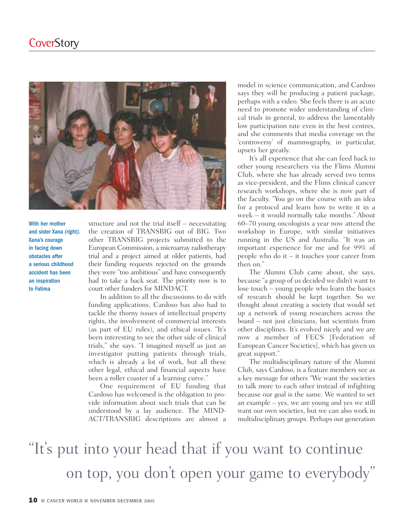

With her mother and sister Xana *(right)*. Xana's courage in facing down obstacles after a serious childhood accident has been an inspiration to Fatima

structure and not the trial itself – necessitating the creation of TRANSBIG out of BIG. Two other TRANSBIG projects submitted to the European Commission, a microarray radiotherapy trial and a project aimed at older patients, had their funding requests rejected on the grounds they were "too ambitious" and have consequently had to take a back seat. The priority now is to court other funders for MINDACT.

In addition to all the discussions to do with funding applications, Cardoso has also had to tackle the thorny issues of intellectual property rights, the involvement of commercial interests (as part of EU rules), and ethical issues. "It's been interesting to see the other side of clinical trials," she says. "I imagined myself as just an investigator putting patients through trials, which is already a lot of work, but all these other legal, ethical and financial aspects have been a roller coaster of a learning curve."

One requirement of EU funding that Cardoso has welcomed is the obligation to provide information about such trials that can be understood by a lay audience. The MIND-ACT/TRANSBIG descriptions are almost a model in science communication, and Cardoso says they will be producing a patient package, perhaps with a video. She feels there is an acute need to promote wider understanding of clinical trials in general, to address the lamentably low participation rate even in the best centres, and she comments that media coverage on the 'controversy' of mammography, in particular, upsets her greatly.

It's all experience that she can feed back to other young researchers via the Flims Alumni Club, where she has already served two terms as vice-president, and the Flims clinical cancer research workshops, where she is now part of the faculty. "You go on the course with an idea for a protocol and learn how to write it in a week – it would normally take months." About 60–70 young oncologists a year now attend the workshop in Europe, with similar initiatives running in the US and Australia. "It was an important experience for me and for 99% of people who do it – it touches your career from then on."

The Alumni Club came about, she says, because "a group of us decided we didn't want to lose touch – young people who learn the basics of research should be kept together. So we thought about creating a society that would set up a network of young researchers across the board – not just clinicians, but scientists from other disciplines. It's evolved nicely and we are now a member of FECS [Federation of European Cancer Societies], which has given us great support."

The multidisciplinary nature of the Alumni Club, says Cardoso, is a feature members see as a key message for others "We want the societies to talk more to each other instead of infighting because our goal is the same. We wanted to set an example – yes, we are young and yes we still want our own societies, but we can also work in multidisciplinary groups. Perhaps our generation

## "It's put into your head that if you want to continue on top, you don't open your game to everybody"